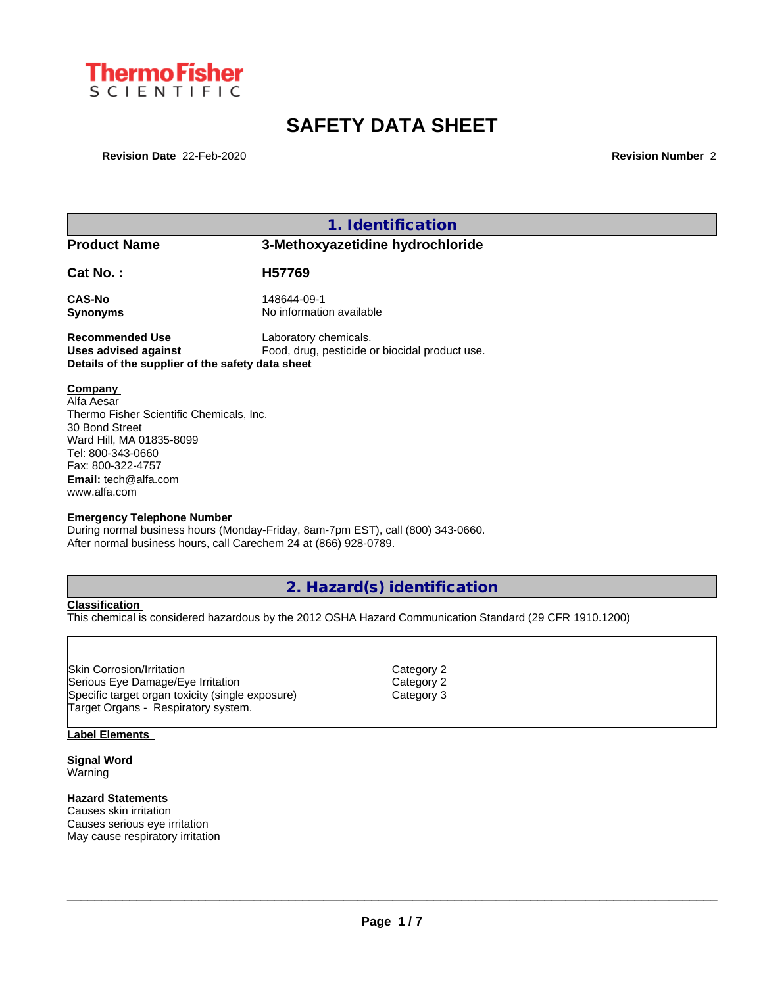

# **SAFETY DATA SHEET**

**Revision Date** 22-Feb-2020 **Revision Number** 2

**1. Identification**

**Product Name 3-Methoxyazetidine hydrochloride**

**Cat No. : H57769**

**CAS-No** 148644-09-1 **Synonyms** No information available

**Recommended Use** Laboratory chemicals.<br> **Uses advised against** Food, drug, pesticide of Food, drug, pesticide or biocidal product use. **Details of the supplier of the safety data sheet**

**Company** 

Alfa Aesar Thermo Fisher Scientific Chemicals, Inc. 30 Bond Street Ward Hill, MA 01835-8099 Tel: 800-343-0660 Fax: 800-322-4757 **Email:** tech@alfa.com www.alfa.com

#### **Emergency Telephone Number**

During normal business hours (Monday-Friday, 8am-7pm EST), call (800) 343-0660. After normal business hours, call Carechem 24 at (866) 928-0789.

**2. Hazard(s) identification**

**Classification**

This chemical is considered hazardous by the 2012 OSHA Hazard Communication Standard (29 CFR 1910.1200)

Skin Corrosion/Irritation **Category 2** and Category 2 Serious Eye Damage/Eye Irritation Category 2 Specific target organ toxicity (single exposure) Category 3 Target Organs - Respiratory system.

#### **Label Elements**

**Signal Word** Warning

### **Hazard Statements**

Causes skin irritation Causes serious eye irritation May cause respiratory irritation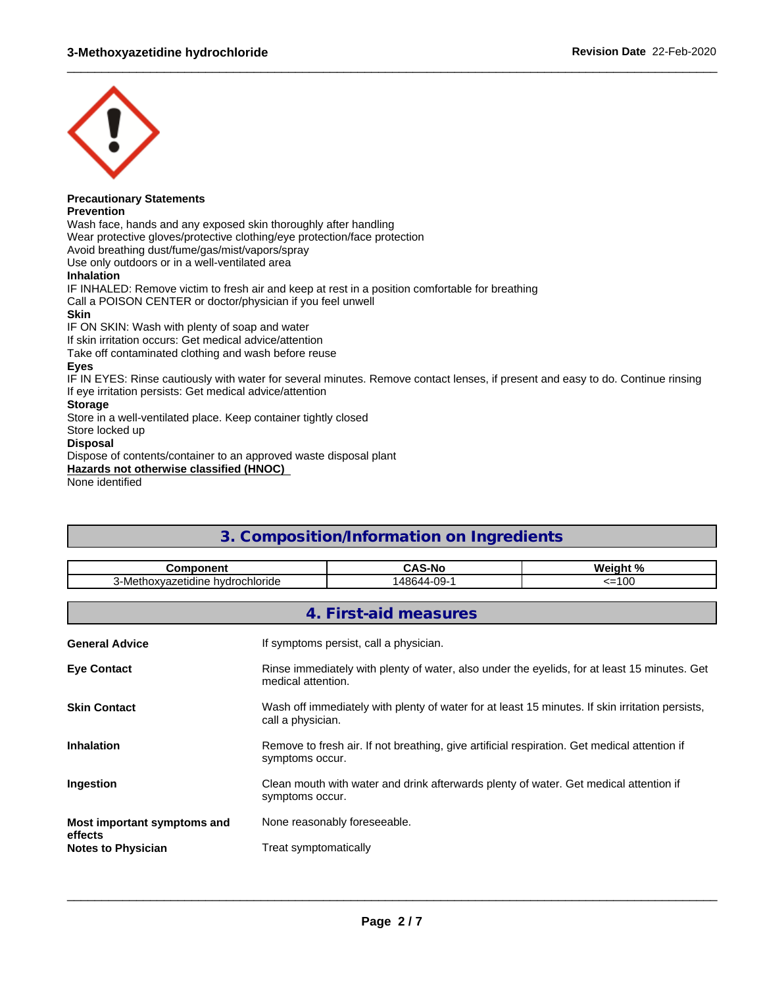

# **Precautionary Statements**

**Prevention**

Wash face, hands and any exposed skin thoroughly after handling Wear protective gloves/protective clothing/eye protection/face protection Avoid breathing dust/fume/gas/mist/vapors/spray Use only outdoors or in a well-ventilated area **Inhalation** IF INHALED: Remove victim to fresh air and keep at rest in a position comfortable for breathing Call a POISON CENTER or doctor/physician if you feel unwell **Skin**

IF ON SKIN: Wash with plenty of soap and water

If skin irritation occurs: Get medical advice/attention

Take off contaminated clothing and wash before reuse

### **Eyes**

IF IN EYES: Rinse cautiously with water for several minutes. Remove contact lenses, if present and easy to do. Continue rinsing If eye irritation persists: Get medical advice/attention

 $\_$  ,  $\_$  ,  $\_$  ,  $\_$  ,  $\_$  ,  $\_$  ,  $\_$  ,  $\_$  ,  $\_$  ,  $\_$  ,  $\_$  ,  $\_$  ,  $\_$  ,  $\_$  ,  $\_$  ,  $\_$  ,  $\_$  ,  $\_$  ,  $\_$  ,  $\_$  ,  $\_$  ,  $\_$  ,  $\_$  ,  $\_$  ,  $\_$  ,  $\_$  ,  $\_$  ,  $\_$  ,  $\_$  ,  $\_$  ,  $\_$  ,  $\_$  ,  $\_$  ,  $\_$  ,  $\_$  ,  $\_$  ,  $\_$  ,

### **Storage**

Store in a well-ventilated place. Keep container tightly closed

Store locked up

# **Disposal**

Dispose of contents/container to an approved waste disposal plant

**Hazards not otherwise classified (HNOC)**

None identified

# **3. Composition/Information on Ingredients Component CAS-No Weight %** 3-Methoxyazetidine hydrochloride 148644-09-1 <=100 **4. First-aid measures General Advice If symptoms persist, call a physician. Eye Contact** Rinse immediately with plenty of water, also under the eyelids, for at least 15 minutes. Get medical attention. **Skin Contact** Wash off immediately with plenty of water for at least 15 minutes. If skin irritation persists, call a physician.

**Inhalation** Remove to fresh air. If not breathing, give artificial respiration. Get medical attention if symptoms occur.

**Ingestion** Clean mouth with water and drink afterwards plenty of water. Get medical attention if symptoms occur.

**Most important symptoms and effects** None reasonably foreseeable.

**Notes to Physician** Treat symptomatically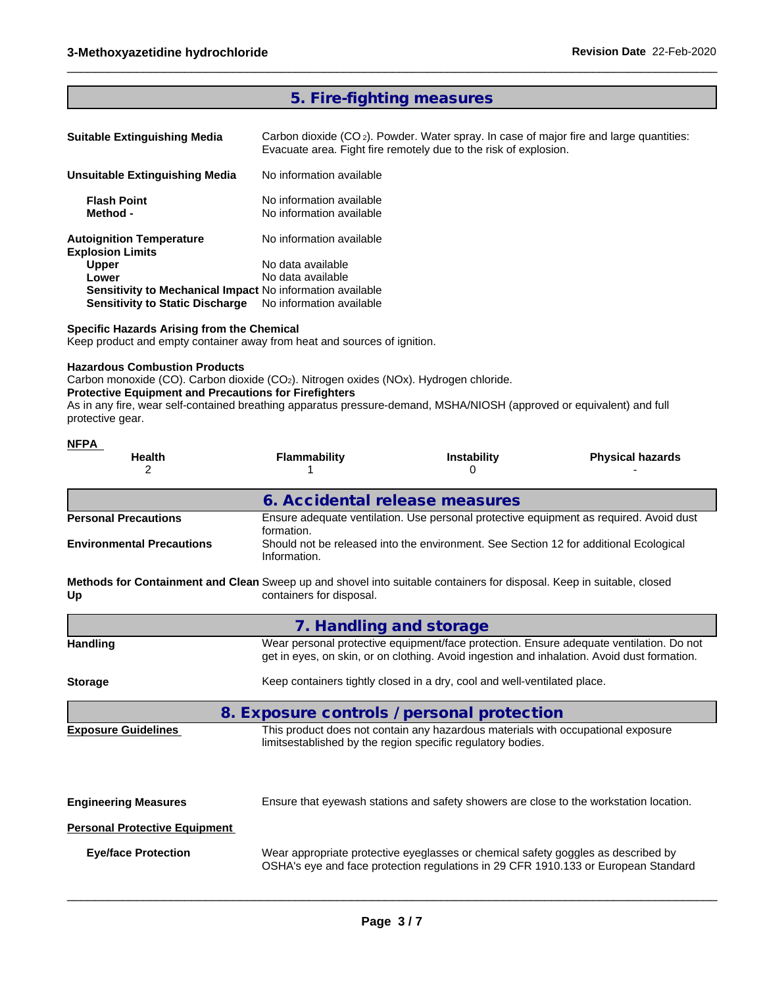# **5. Fire-fighting measures**

Carbon dioxide (CO<sub>2</sub>). Powder. Water spray. In case of major fire and large quantities: Evacuate area. Fight fire remotely due to the risk of explosion.

 $\_$  ,  $\_$  ,  $\_$  ,  $\_$  ,  $\_$  ,  $\_$  ,  $\_$  ,  $\_$  ,  $\_$  ,  $\_$  ,  $\_$  ,  $\_$  ,  $\_$  ,  $\_$  ,  $\_$  ,  $\_$  ,  $\_$  ,  $\_$  ,  $\_$  ,  $\_$  ,  $\_$  ,  $\_$  ,  $\_$  ,  $\_$  ,  $\_$  ,  $\_$  ,  $\_$  ,  $\_$  ,  $\_$  ,  $\_$  ,  $\_$  ,  $\_$  ,  $\_$  ,  $\_$  ,  $\_$  ,  $\_$  ,  $\_$  ,

| Unsuitable Extinguishing Media                            | No information available                             |  |
|-----------------------------------------------------------|------------------------------------------------------|--|
| <b>Flash Point</b><br>Method -                            | No information available<br>No information available |  |
| Autoignition Temperature<br><b>Explosion Limits</b>       | No information available                             |  |
| <b>Upper</b>                                              | No data available                                    |  |
| Lower                                                     | No data available                                    |  |
| Sensitivity to Mechanical Impact No information available |                                                      |  |
| <b>Sensitivity to Static Discharge</b>                    | No information available                             |  |

### **Specific Hazards Arising from the Chemical**

Keep product and empty container away from heat and sources of ignition.

# **Hazardous Combustion Products**

**NFPA** 

Carbon monoxide (CO). Carbon dioxide (CO<sub>2</sub>). Nitrogen oxides (NOx). Hydrogen chloride.

#### **Protective Equipment and Precautions for Firefighters**

As in any fire, wear self-contained breathing apparatus pressure-demand, MSHA/NIOSH (approved or equivalent) and full protective gear.

| . <del>.</del><br><b>Health</b><br>2                                                                                        | <b>Flammability</b>                                                                                  | <b>Instability</b><br>0                                                                                                                         | <b>Physical hazards</b>                                                                                                                                                                |  |  |  |  |
|-----------------------------------------------------------------------------------------------------------------------------|------------------------------------------------------------------------------------------------------|-------------------------------------------------------------------------------------------------------------------------------------------------|----------------------------------------------------------------------------------------------------------------------------------------------------------------------------------------|--|--|--|--|
|                                                                                                                             | 6. Accidental release measures                                                                       |                                                                                                                                                 |                                                                                                                                                                                        |  |  |  |  |
| <b>Personal Precautions</b>                                                                                                 | Ensure adequate ventilation. Use personal protective equipment as required. Avoid dust<br>formation. |                                                                                                                                                 |                                                                                                                                                                                        |  |  |  |  |
| <b>Environmental Precautions</b>                                                                                            | Information.                                                                                         | Should not be released into the environment. See Section 12 for additional Ecological                                                           |                                                                                                                                                                                        |  |  |  |  |
| Methods for Containment and Clean Sweep up and shovel into suitable containers for disposal. Keep in suitable, closed<br>Up | containers for disposal.                                                                             |                                                                                                                                                 |                                                                                                                                                                                        |  |  |  |  |
|                                                                                                                             | 7. Handling and storage                                                                              |                                                                                                                                                 |                                                                                                                                                                                        |  |  |  |  |
| <b>Handling</b>                                                                                                             |                                                                                                      |                                                                                                                                                 | Wear personal protective equipment/face protection. Ensure adequate ventilation. Do not<br>get in eyes, on skin, or on clothing. Avoid ingestion and inhalation. Avoid dust formation. |  |  |  |  |
| <b>Storage</b>                                                                                                              | Keep containers tightly closed in a dry, cool and well-ventilated place.                             |                                                                                                                                                 |                                                                                                                                                                                        |  |  |  |  |
|                                                                                                                             | 8. Exposure controls / personal protection                                                           |                                                                                                                                                 |                                                                                                                                                                                        |  |  |  |  |
| <b>Exposure Guidelines</b>                                                                                                  |                                                                                                      | This product does not contain any hazardous materials with occupational exposure<br>limitsestablished by the region specific regulatory bodies. |                                                                                                                                                                                        |  |  |  |  |
| <b>Engineering Measures</b>                                                                                                 |                                                                                                      |                                                                                                                                                 | Ensure that eyewash stations and safety showers are close to the workstation location.                                                                                                 |  |  |  |  |
| <b>Personal Protective Equipment</b>                                                                                        |                                                                                                      |                                                                                                                                                 |                                                                                                                                                                                        |  |  |  |  |
| <b>Eye/face Protection</b>                                                                                                  |                                                                                                      | Wear appropriate protective eyeglasses or chemical safety goggles as described by                                                               | OSHA's eye and face protection regulations in 29 CFR 1910.133 or European Standard                                                                                                     |  |  |  |  |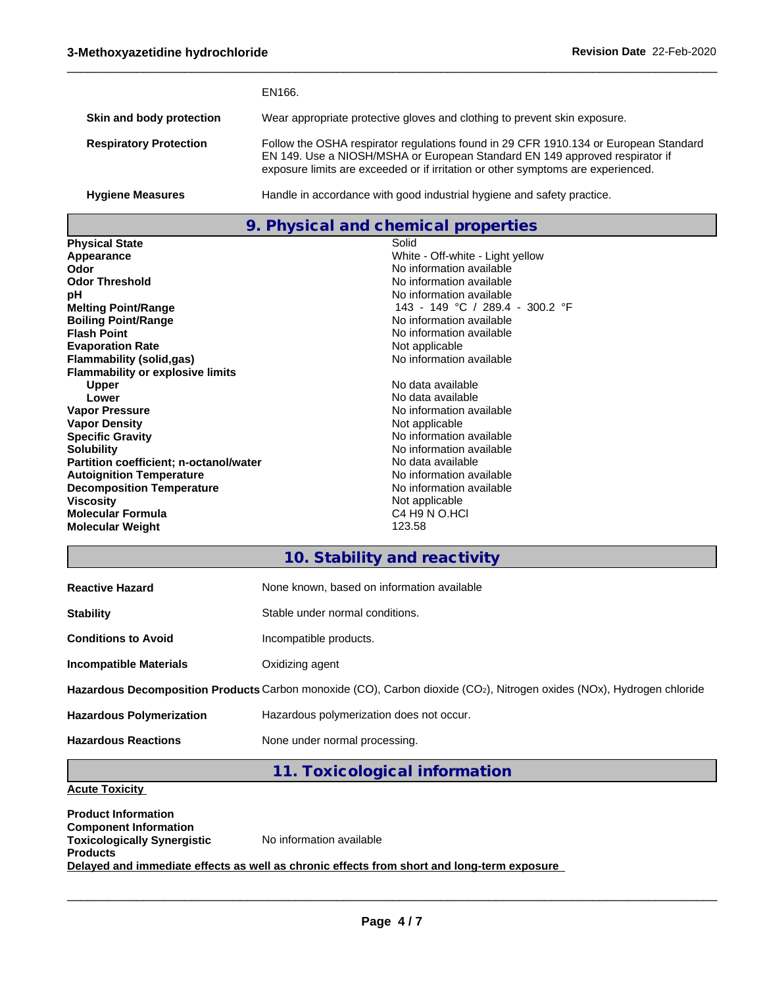|                               | EN166.                                                                                                                                                                                                                                                  |
|-------------------------------|---------------------------------------------------------------------------------------------------------------------------------------------------------------------------------------------------------------------------------------------------------|
| Skin and body protection      | Wear appropriate protective gloves and clothing to prevent skin exposure.                                                                                                                                                                               |
| <b>Respiratory Protection</b> | Follow the OSHA respirator regulations found in 29 CFR 1910.134 or European Standard<br>EN 149. Use a NIOSH/MSHA or European Standard EN 149 approved respirator if<br>exposure limits are exceeded or if irritation or other symptoms are experienced. |
| <b>Hygiene Measures</b>       | Handle in accordance with good industrial hygiene and safety practice.                                                                                                                                                                                  |

 $\_$  ,  $\_$  ,  $\_$  ,  $\_$  ,  $\_$  ,  $\_$  ,  $\_$  ,  $\_$  ,  $\_$  ,  $\_$  ,  $\_$  ,  $\_$  ,  $\_$  ,  $\_$  ,  $\_$  ,  $\_$  ,  $\_$  ,  $\_$  ,  $\_$  ,  $\_$  ,  $\_$  ,  $\_$  ,  $\_$  ,  $\_$  ,  $\_$  ,  $\_$  ,  $\_$  ,  $\_$  ,  $\_$  ,  $\_$  ,  $\_$  ,  $\_$  ,  $\_$  ,  $\_$  ,  $\_$  ,  $\_$  ,  $\_$  ,

# **9. Physical and chemical properties**

| <b>Physical State</b>                   | Solid                                 |
|-----------------------------------------|---------------------------------------|
| Appearance                              | White - Off-white - Light yellow      |
| Odor                                    | No information available              |
| <b>Odor Threshold</b>                   | No information available              |
| рH                                      | No information available              |
| <b>Melting Point/Range</b>              | 143 - 149 °C / 289.4 - 300.2 °F       |
| <b>Boiling Point/Range</b>              | No information available              |
| <b>Flash Point</b>                      | No information available              |
| <b>Evaporation Rate</b>                 | Not applicable                        |
| Flammability (solid,gas)                | No information available              |
| <b>Flammability or explosive limits</b> |                                       |
| <b>Upper</b>                            | No data available                     |
| Lower                                   | No data available                     |
| <b>Vapor Pressure</b>                   | No information available              |
| <b>Vapor Density</b>                    | Not applicable                        |
| <b>Specific Gravity</b>                 | No information available              |
| <b>Solubility</b>                       | No information available              |
| Partition coefficient; n-octanol/water  | No data available                     |
| <b>Autoignition Temperature</b>         | No information available              |
| <b>Decomposition Temperature</b>        | No information available              |
| <b>Viscosity</b>                        | Not applicable                        |
| <b>Molecular Formula</b>                | C <sub>4</sub> H <sub>9</sub> N O.HCI |
| <b>Molecular Weight</b>                 | 123.58                                |

# **10. Stability and reactivity**

| <b>Reactive Hazard</b>                                                                                                | None known, based on information available |  |  |  |  |
|-----------------------------------------------------------------------------------------------------------------------|--------------------------------------------|--|--|--|--|
| <b>Stability</b>                                                                                                      | Stable under normal conditions.            |  |  |  |  |
| <b>Conditions to Avoid</b>                                                                                            | Incompatible products.                     |  |  |  |  |
| <b>Incompatible Materials</b>                                                                                         | Oxidizing agent                            |  |  |  |  |
| Hazardous Decomposition Products Carbon monoxide (CO), Carbon dioxide (CO2), Nitrogen oxides (NOx), Hydrogen chloride |                                            |  |  |  |  |
| <b>Hazardous Polymerization</b>                                                                                       | Hazardous polymerization does not occur.   |  |  |  |  |
| <b>Hazardous Reactions</b>                                                                                            | None under normal processing.              |  |  |  |  |

# **11. Toxicological information**

# **Acute Toxicity**

**Product Information Component Information Toxicologically Synergistic Products** No information available **Delayed and immediate effects as well as chronic effects from short and long-term exposure**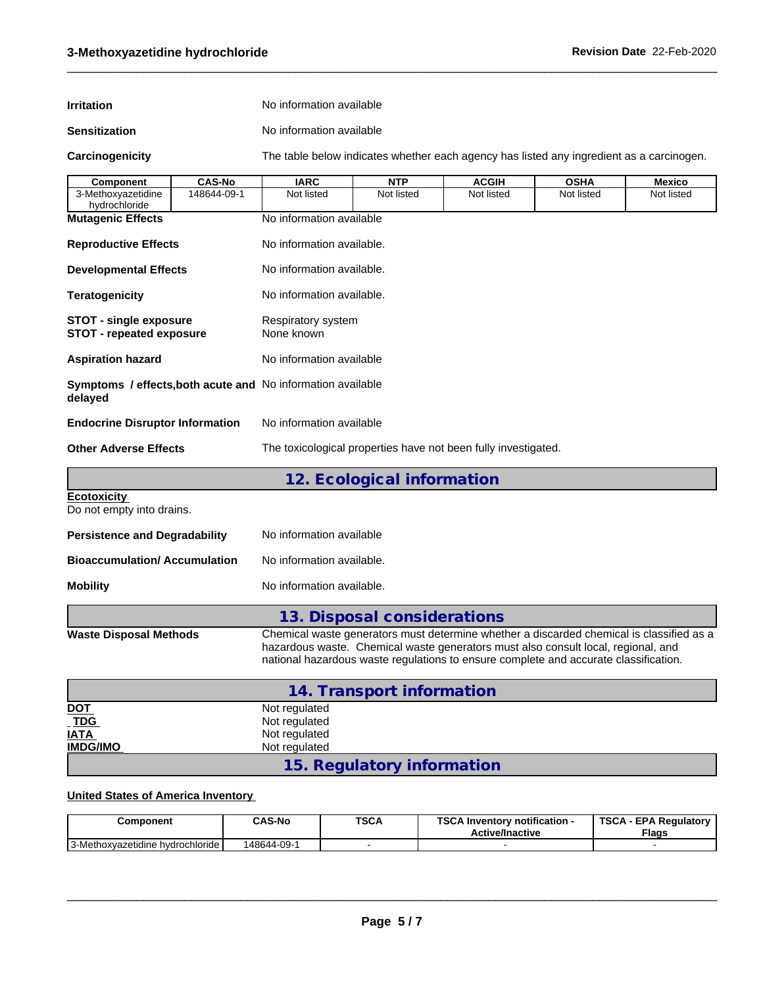| <b>Irritation</b> | No information available |
|-------------------|--------------------------|
|                   |                          |

**Sensitization** No information available

**Carcinogenicity** The table below indicateswhether each agency has listed any ingredient as a carcinogen.

 $\_$  ,  $\_$  ,  $\_$  ,  $\_$  ,  $\_$  ,  $\_$  ,  $\_$  ,  $\_$  ,  $\_$  ,  $\_$  ,  $\_$  ,  $\_$  ,  $\_$  ,  $\_$  ,  $\_$  ,  $\_$  ,  $\_$  ,  $\_$  ,  $\_$  ,  $\_$  ,  $\_$  ,  $\_$  ,  $\_$  ,  $\_$  ,  $\_$  ,  $\_$  ,  $\_$  ,  $\_$  ,  $\_$  ,  $\_$  ,  $\_$  ,  $\_$  ,  $\_$  ,  $\_$  ,  $\_$  ,  $\_$  ,  $\_$  ,

| Component                                                        | <b>CAS-No</b> | <b>IARC</b>                                                    | <b>NTP</b>                                                                                                                                                                                                                                                            | <b>ACGIH</b> | <b>OSHA</b> | <b>Mexico</b> |  |  |  |  |
|------------------------------------------------------------------|---------------|----------------------------------------------------------------|-----------------------------------------------------------------------------------------------------------------------------------------------------------------------------------------------------------------------------------------------------------------------|--------------|-------------|---------------|--|--|--|--|
| 3-Methoxyazetidine<br>hydrochloride                              | 148644-09-1   | Not listed                                                     | Not listed                                                                                                                                                                                                                                                            | Not listed   | Not listed  | Not listed    |  |  |  |  |
| <b>Mutagenic Effects</b><br><b>Reproductive Effects</b>          |               | No information available                                       |                                                                                                                                                                                                                                                                       |              |             |               |  |  |  |  |
|                                                                  |               | No information available.                                      |                                                                                                                                                                                                                                                                       |              |             |               |  |  |  |  |
| <b>Developmental Effects</b>                                     |               | No information available.                                      |                                                                                                                                                                                                                                                                       |              |             |               |  |  |  |  |
| <b>Teratogenicity</b>                                            |               | No information available.                                      |                                                                                                                                                                                                                                                                       |              |             |               |  |  |  |  |
| <b>STOT - single exposure</b><br><b>STOT - repeated exposure</b> |               | Respiratory system<br>None known                               |                                                                                                                                                                                                                                                                       |              |             |               |  |  |  |  |
| <b>Aspiration hazard</b>                                         |               | No information available                                       |                                                                                                                                                                                                                                                                       |              |             |               |  |  |  |  |
| delayed                                                          |               | Symptoms / effects, both acute and No information available    |                                                                                                                                                                                                                                                                       |              |             |               |  |  |  |  |
| <b>Endocrine Disruptor Information</b>                           |               | No information available                                       |                                                                                                                                                                                                                                                                       |              |             |               |  |  |  |  |
| <b>Other Adverse Effects</b>                                     |               | The toxicological properties have not been fully investigated. |                                                                                                                                                                                                                                                                       |              |             |               |  |  |  |  |
|                                                                  |               |                                                                | 12. Ecological information                                                                                                                                                                                                                                            |              |             |               |  |  |  |  |
| <b>Ecotoxicity</b><br>Do not empty into drains.                  |               |                                                                |                                                                                                                                                                                                                                                                       |              |             |               |  |  |  |  |
| <b>Persistence and Degradability</b>                             |               | No information available                                       |                                                                                                                                                                                                                                                                       |              |             |               |  |  |  |  |
| <b>Bioaccumulation/ Accumulation</b>                             |               | No information available.                                      |                                                                                                                                                                                                                                                                       |              |             |               |  |  |  |  |
| <b>Mobility</b>                                                  |               | No information available.                                      |                                                                                                                                                                                                                                                                       |              |             |               |  |  |  |  |
|                                                                  |               |                                                                | 13. Disposal considerations                                                                                                                                                                                                                                           |              |             |               |  |  |  |  |
| <b>Waste Disposal Methods</b>                                    |               |                                                                | Chemical waste generators must determine whether a discarded chemical is classified as a<br>hazardous waste. Chemical waste generators must also consult local, regional, and<br>national hazardous waste regulations to ensure complete and accurate classification. |              |             |               |  |  |  |  |
|                                                                  |               |                                                                | 1.4 Transport information                                                                                                                                                                                                                                             |              |             |               |  |  |  |  |

|                                   | 14. Transport information  |
|-----------------------------------|----------------------------|
|                                   | Not regulated              |
| <u>DOT</u><br>T <u>DG</u><br>IATA | Not regulated              |
|                                   | Not regulated              |
| <b>IMDG/IMO</b>                   | Not regulated              |
|                                   | 15. Regulatory information |

# **United States of America Inventory**

| Component                                    | <b>CAS-No</b> | <b>TSCA</b> | <b>TOO A</b><br><b>∖ Inventorv notification -</b><br>3U<br><b>Active/Inactive</b> | <b>TSCA</b><br>- EPA Regulatory<br><b>Flags</b> |
|----------------------------------------------|---------------|-------------|-----------------------------------------------------------------------------------|-------------------------------------------------|
| -<br>l-Methoxvazetidine hvdrochloride l<br>ີ | 148644-09-    |             |                                                                                   |                                                 |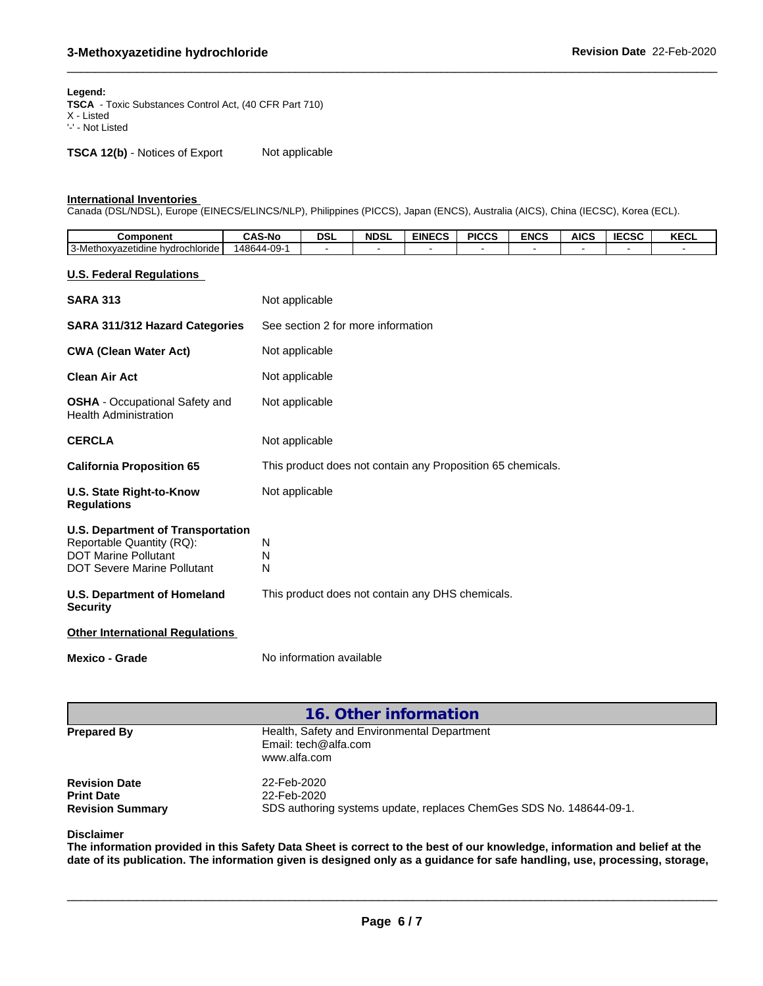#### **Legend:**

**TSCA** - Toxic Substances Control Act, (40 CFR Part 710) X - Listed '-' - Not Listed

**TSCA 12(b)** - Notices of Export Not applicable

#### **International Inventories**

Canada (DSL/NDSL), Europe (EINECS/ELINCS/NLP), Philippines (PICCS), Japan (ENCS), Australia (AICS), China (IECSC), Korea (ECL).

| Component                                  | <b>CAS-No</b> | <b>DSL</b> | <b>NDSL</b> | <b>EINECS</b> | <b>PICCS</b> | <b>ENCS</b> | <b>AICS</b> | <b>IECSC</b> | $V = 0$<br>ncul |
|--------------------------------------------|---------------|------------|-------------|---------------|--------------|-------------|-------------|--------------|-----------------|
| 3-Methoxyazetidine h<br>hvdrochloride<br>. | 48644-09-     |            |             |               |              |             |             |              |                 |
|                                            |               |            |             |               |              |             |             |              |                 |

 $\_$  ,  $\_$  ,  $\_$  ,  $\_$  ,  $\_$  ,  $\_$  ,  $\_$  ,  $\_$  ,  $\_$  ,  $\_$  ,  $\_$  ,  $\_$  ,  $\_$  ,  $\_$  ,  $\_$  ,  $\_$  ,  $\_$  ,  $\_$  ,  $\_$  ,  $\_$  ,  $\_$  ,  $\_$  ,  $\_$  ,  $\_$  ,  $\_$  ,  $\_$  ,  $\_$  ,  $\_$  ,  $\_$  ,  $\_$  ,  $\_$  ,  $\_$  ,  $\_$  ,  $\_$  ,  $\_$  ,  $\_$  ,  $\_$  ,

### **U.S. Federal Regulations**

| <b>SARA 313</b>                                                                                                                            | Not applicable                                              |
|--------------------------------------------------------------------------------------------------------------------------------------------|-------------------------------------------------------------|
| SARA 311/312 Hazard Categories                                                                                                             | See section 2 for more information                          |
| <b>CWA (Clean Water Act)</b>                                                                                                               | Not applicable                                              |
| <b>Clean Air Act</b>                                                                                                                       | Not applicable                                              |
| <b>OSHA</b> - Occupational Safety and<br><b>Health Administration</b>                                                                      | Not applicable                                              |
| <b>CERCLA</b>                                                                                                                              | Not applicable                                              |
| <b>California Proposition 65</b>                                                                                                           | This product does not contain any Proposition 65 chemicals. |
| U.S. State Right-to-Know<br><b>Regulations</b>                                                                                             | Not applicable                                              |
| <b>U.S. Department of Transportation</b><br>Reportable Quantity (RQ):<br><b>DOT Marine Pollutant</b><br><b>DOT Severe Marine Pollutant</b> | N<br>N<br>N                                                 |
| U.S. Department of Homeland<br><b>Security</b>                                                                                             | This product does not contain any DHS chemicals.            |
| <b>Other International Regulations</b>                                                                                                     |                                                             |
| <b>Mexico - Grade</b>                                                                                                                      | No information available                                    |

**16. Other information Prepared By** Health, Safety and Environmental Department Email: tech@alfa.com www.alfa.com **Revision Date** 22-Feb-2020<br> **Print Date** 22-Feb-2020 **Print Date**<br> **Revision Summary**<br> **CDS** authoring SDS authoring systems update, replaces ChemGes SDS No. 148644-09-1.

#### **Disclaimer**

The information provided in this Safety Data Sheet is correct to the best of our knowledge, information and belief at the date of its publication. The information given is designed only as a guidance for safe handling, use, processing, storage,